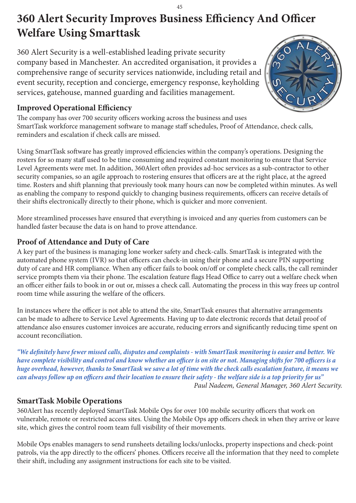# **360 Alert Security Improves Business Efficiency And Officer Welfare Using Smarttask**

360 Alert Security is a well-established leading private security company based in Manchester. An accredited organisation, it provides a comprehensive range of security services nationwide, including retail and event security, reception and concierge, emergency response, keyholding services, gatehouse, manned guarding and facilities management.



## **Improved Operational Efficiency**

The company has over 700 security officers working across the business and uses SmartTask workforce management software to manage staff schedules, Proof of Attendance, check calls, reminders and escalation if check calls are missed.

Using SmartTask software has greatly improved efficiencies within the company's operations. Designing the rosters for so many staff used to be time consuming and required constant monitoring to ensure that Service Level Agreements were met. In addition, 360Alert often provides ad-hoc services as a sub-contractor to other security companies, so an agile approach to rostering ensures that officers are at the right place, at the agreed time. Rosters and shift planning that previously took many hours can now be completed within minutes. As well as enabling the company to respond quickly to changing business requirements, officers can receive details of their shifts electronically directly to their phone, which is quicker and more convenient.

More streamlined processes have ensured that everything is invoiced and any queries from customers can be handled faster because the data is on hand to prove attendance.

#### **Proof of Attendance and Duty of Care**

A key part of the business is managing lone worker safety and check-calls. SmartTask is integrated with the automated phone system (IVR) so that officers can check-in using their phone and a secure PIN supporting duty of care and HR compliance. When any officer fails to book on/off or complete check calls, the call reminder service prompts them via their phone. The escalation feature flags Head Office to carry out a welfare check when an officer either fails to book in or out or, misses a check call. Automating the process in this way frees up control room time while assuring the welfare of the officers.

In instances where the officer is not able to attend the site, SmartTask ensures that alternative arrangements can be made to adhere to Service Level Agreements. Having up to date electronic records that detail proof of attendance also ensures customer invoices are accurate, reducing errors and significantly reducing time spent on account reconciliation.

*"We definitely have fewer missed calls, disputes and complaints - with SmartTask monitoring is easier and better. We have complete visibility and control and know whether an officer is on site or not. Managing shifts for 700 officers is a huge overhead, however, thanks to SmartTask we save a lot of time with the check calls escalation feature, it means we can always follow up on officers and their location to ensure their safety - the welfare side is a top priority for us" Paul Nadeem, General Manager, 360 Alert Security.*

### **SmartTask Mobile Operations**

360Alert has recently deployed SmartTask Mobile Ops for over 100 mobile security officers that work on vulnerable, remote or restricted access sites. Using the Mobile Ops app officers check in when they arrive or leave site, which gives the control room team full visibility of their movements.

Mobile Ops enables managers to send runsheets detailing locks/unlocks, property inspections and check-point patrols, via the app directly to the officers' phones. Officers receive all the information that they need to complete their shift, including any assignment instructions for each site to be visited.

#### 45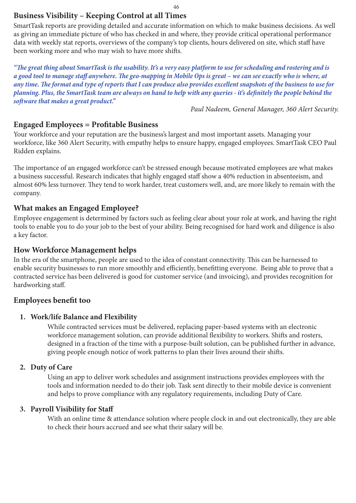### **Business Visibility – Keeping Control at all Times**

SmartTask reports are providing detailed and accurate information on which to make business decisions. As well as giving an immediate picture of who has checked in and where, they provide critical operational performance data with weekly stat reports, overviews of the company's top clients, hours delivered on site, which staff have been working more and who may wish to have more shifts.

*"The great thing about SmartTask is the usability. It's a very easy platform to use for scheduling and rostering and is a good tool to manage staff anywhere. The geo-mapping in Mobile Ops is great – we can see exactly who is where, at any time. The format and type of reports that I can produce also provides excellent snapshots of the business to use for planning. Plus, the SmartTask team are always on hand to help with any queries - it's definitely the people behind the software that makes a great product."*

*Paul Nadeem, General Manager, 360 Alert Security.*

#### **Engaged Employees = Profitable Business**

Your workforce and your reputation are the business's largest and most important assets. Managing your workforce, like 360 Alert Security, with empathy helps to ensure happy, engaged employees. SmartTask CEO Paul Ridden explains.

The importance of an engaged workforce can't be stressed enough because motivated employees are what makes a business successful. Research indicates that highly engaged staff show a 40% reduction in absenteeism, and almost 60% less turnover. They tend to work harder, treat customers well, and, are more likely to remain with the company.

#### **What makes an Engaged Employee?**

Employee engagement is determined by factors such as feeling clear about your role at work, and having the right tools to enable you to do your job to the best of your ability. Being recognised for hard work and diligence is also a key factor.

#### **How Workforce Management helps**

In the era of the smartphone, people are used to the idea of constant connectivity. This can be harnessed to enable security businesses to run more smoothly and efficiently, benefitting everyone. Being able to prove that a contracted service has been delivered is good for customer service (and invoicing), and provides recognition for hardworking staff.

#### **Employees benefit too**

#### **1. Work/life Balance and Flexibility**

While contracted services must be delivered, replacing paper-based systems with an electronic workforce management solution, can provide additional flexibility to workers. Shifts and rosters, designed in a fraction of the time with a purpose-built solution, can be published further in advance, giving people enough notice of work patterns to plan their lives around their shifts.

#### **2. Duty of Care**

Using an app to deliver work schedules and assignment instructions provides employees with the tools and information needed to do their job. Task sent directly to their mobile device is convenient and helps to prove compliance with any regulatory requirements, including Duty of Care.

#### **3. Payroll Visibility for Staff**

With an online time & attendance solution where people clock in and out electronically, they are able to check their hours accrued and see what their salary will be.